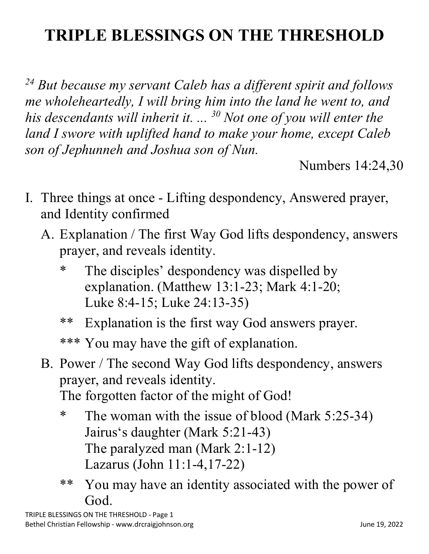## **TRIPLE BLESSINGS ON THE THRESHOLD**

*<sup>24</sup> But because my servant Caleb has a different spirit and follows me wholeheartedly, I will bring him into the land he went to, and his descendants will inherit it. ... 30 Not one of you will enter the land I swore with uplifted hand to make your home, except Caleb son of Jephunneh and Joshua son of Nun.*

Numbers 14:24,30

- I. Three things at once Lifting despondency, Answered prayer, and Identity confirmed
	- A. Explanation / The first Way God lifts despondency, answers prayer, and reveals identity.
		- \* The disciples' despondency was dispelled by explanation. (Matthew 13:1-23; Mark 4:1-20; Luke 8:4-15; Luke 24:13-35)
		- \*\* Explanation is the first way God answers prayer.
		- \*\*\* You may have the gift of explanation.
	- B. Power / The second Way God lifts despondency, answers prayer, and reveals identity.

The forgotten factor of the might of God!

- \* The woman with the issue of blood (Mark 5:25-34) Jairus's daughter (Mark 5:21-43) The paralyzed man (Mark 2:1-12) Lazarus (John 11:1-4,17-22)
- \*\* You may have an identity associated with the power of God.